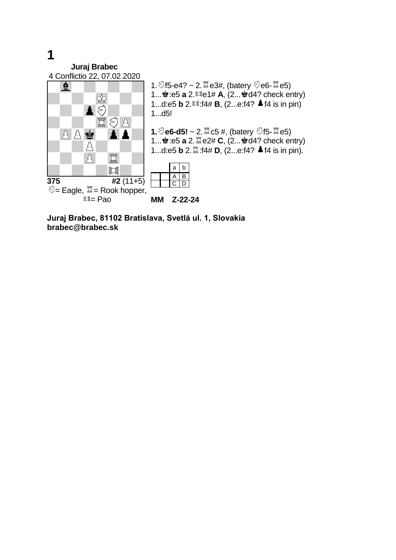**Juraj Brabec** 4 Conflictio 22, 07.02.2020



1. $\sqrt[5]{15}$ -e4? ~ 2. $\sqrt[5]{\ }$ e3#, (batery  $\sqrt[5]{e}$ e6- $\sqrt[5]{\ }$ e5) 1...<sup>2</sup>:e5 **a** 2. **de1# A**, (2... 2d4? check entry) 1...d:e5 **b** 2. $\text{1/14# B}$ , (2...e:f4? **A** f4 is in pin)

**1.** $\sqrt[3]{e^6}$ -d5! ~ 2. $\sqrt[3]{a}$ c5 #, (batery  $\sqrt[3]{15}$ - $\sqrt[3]{a}$ e5) 1...<sup>2</sup>:e5 **a** 2. **Le2# C**, (2...2d4? check entry) 1...d:e5 **b** 2.  $\mathbb{Z}$ :f4# **D**, (2...e:f4? **▲** f4 is in pin).

**MM Z-22-24**

**Juraj Brabec, 81102 Bratislava, Svetlá ul. 1, Slovakia brabec@brabec.sk**

## **1**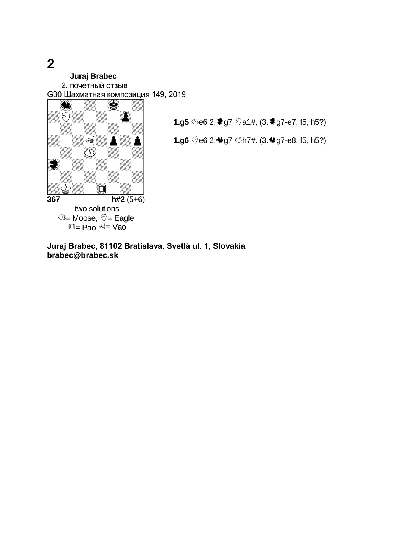**2**

## **Juraj Brabec**

2. почетный отзыв

G30 Шахматная композиция 149, 2019



**1.g5 <sup>4</sup>**e6 2. ₹g7  $\Diamond$ a1#, (3. ₹g7-e7, f5, h5?)

**1.g6** e6 2.g7 h7#. (3.g7-e8, f5, h5?)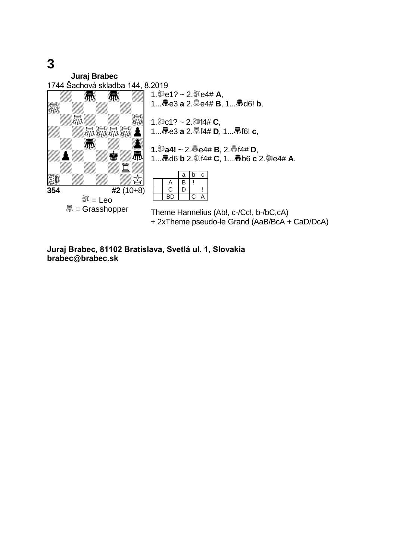**3**

**Juraj Brabec** 1744 Šachová skladba 144, 8.2019  $\frac{1}{354}$   $\frac{1}{42}$  (10+8 **354 #2** (10+8) ैं<sup>30</sup> = Leo **M** = Grasshopper 1.  $\mathbb{R}e$ 1? ~ 2. $\mathbb{R}e$ 4# **A**, 1...e3 **a** 2.e4# **B**, 1...d6! **b**, 1. ③ c1? ~ 2. ③ f4# **C**, 1...e3 **a** 2.f4# **D**, 1...f6! **c**, **1.a4!** ~ 2.e4# **B**, 2.f4# **D**, 1...d6 **b** 2.f4# **C**, 1...b6 **c** 2.e4# **A**.  $a \mid b \mid c$  $A$   $B$  ! C D !<br>BD C A  $C/A$ Theme Hannelius (Ab!, c-/Cc!, b-/bC,cA) + 2xTheme pseudo-le Grand (AaB/BcA + CaD/DcA)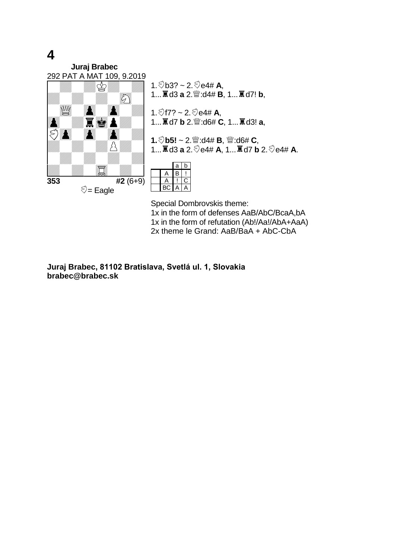**4**

**Juraj Brabec** 292 PAT A MAT 109, 9.2019



1. $\sqrt[5]{b3}$ ? ~ 2. $\sqrt[5]{e4}$ # A, 1...<br>**a** d3 **a** 2. 2: d4# **B**, 1... **a** d7! **b**,

1.  $\sqrt[6]{17?}$  ~ 2.  $\sqrt[6]{64#}$  **A**, 1...d7 **b** 2.:d6# **C**, 1...d3! **a**,

**1.** *₹***b5!** ~ 2. *≝* :d4# **B**, *≝* :d6# **C**, **1...** $\overline{\mathbf{A}}$  **d3 a 2. ♡e4# <b>A**, 1...<br> $\overline{\mathbf{A}}$  d7 **b** 2. ♡e4# **A**.



Special Dombrovskis theme: 1x in the form of defenses AaB/AbC/BcaA,bA 1x in the form of refutation (Ab!/Aa!/AbA+AaA) 2x theme le Grand: AaB/BaA + AbC-CbA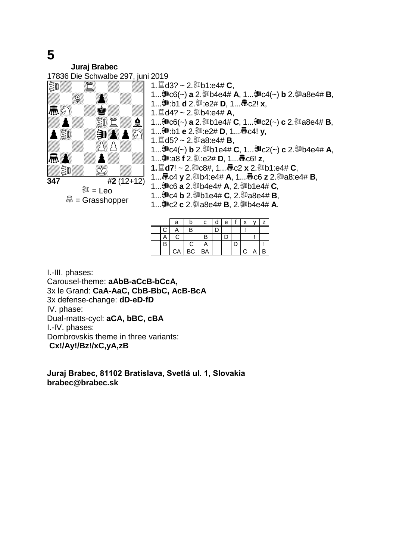**Juraj Brabec** 17836 Die Schwalbe 297, juni 2019



1.d3? ~ 2.b1:e4# **C**, 1...訓c6(~) **a** 2.訓b4e4# **A**, 1...訓c4(~) **b** 2.訓a8e4# **B**, 1..... **③ :b1 d** 2. ③ :e2# **D**, 1.... 氚 c2! **x**, 1.  $\mathbb{Z}$  d4? ~ 2.  $\mathbb{Z}$ b4:e4# **A**, 1...訓c6(~) **a** 2.訓b1e4# **C**, 1...訓c2(~) **c** 2.訓a8e4# **B**, 1..... **③ :b1 e** 2. ③ :e2# **D**, 1.... 氚c4! **v**, 1.  $\ddot{\Xi}$  d5? ~ 2. ③ a8:e4# **B**, 1...訓c4(~) **b** 2.訓b1e4# **C**, 1...訓c2(~) **c** 2.訓b4e4# **A**, 1...:a8 **f** 2.:e2# **D**, 1...c6! **z**, **1.d7**! ~ 2.c8#, 1...c2 **x** 2.b1:e4# **C**, 1...氚c4 y 2.③b4:e4# A, 1...氚c6 z 2.③a8:e4# B, 1... **即c6 a** 2. ③b4e4# **A**, 2. ③b1e4# **C**,

- 1...c4 **b** 2.b1e4# **C**, 2.a8e4# **B**,
- 1...c2 **c** 2.a8e4# **B**, 2.b4e4# **A**.

|              | a  | b         | C  | d | e <sub>1</sub> | x. |  |
|--------------|----|-----------|----|---|----------------|----|--|
| $\mathsf{C}$ | Α  | B         |    |   |                |    |  |
|              | С  |           | B  |   |                |    |  |
|              |    | C.        |    |   |                |    |  |
|              | CA | <b>BC</b> | BA |   |                | C. |  |

I.-III. phases: Carousel-theme: **aAbB-aCcB-bCcA,** 3x le Grand: **CaA-AaC, CbB-BbC, AcB-BcA**  3x defense-change: **dD-eD-fD** IV. phase: Dual-matts-cycl: **aCA, bBC, cBA** I.-IV. phases: Dombrovskis theme in three variants: **Cx!/Ay!/Bz!/xC,yA,zB**

**Juraj Brabec, 81102 Bratislava, Svetlá ul. 1, Slovakia brabec@brabec.sk**

## **5**